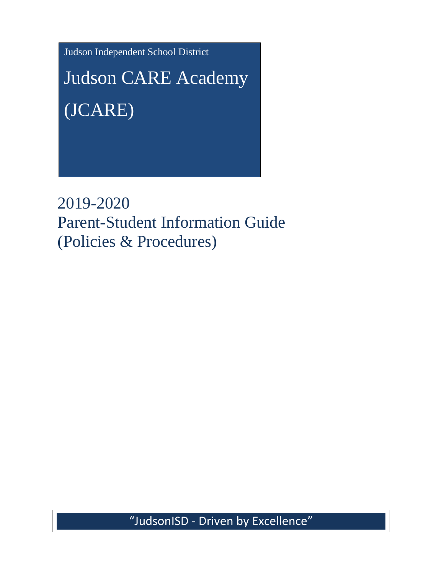Judson Independent School District

Judson CARE Academy (JCARE)

2019-2020 Parent-Student Information Guide (Policies & Procedures)

"JudsonISD - Driven by Excellence"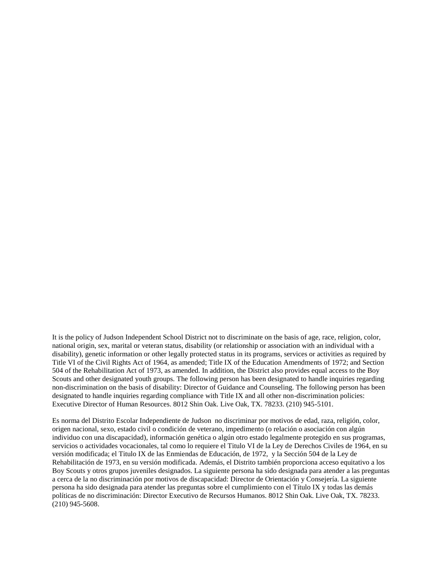It is the policy of Judson Independent School District not to discriminate on the basis of age, race, religion, color, national origin, sex, marital or veteran status, disability (or relationship or association with an individual with a disability), genetic information or other legally protected status in its programs, services or activities as required by Title VI of the Civil Rights Act of 1964, as amended; Title IX of the Education Amendments of 1972; and Section 504 of the Rehabilitation Act of 1973, as amended. In addition, the District also provides equal access to the Boy Scouts and other designated youth groups. The following person has been designated to handle inquiries regarding non-discrimination on the basis of disability: Director of Guidance and Counseling. The following person has been designated to handle inquiries regarding compliance with Title IX and all other non-discrimination policies: Executive Director of Human Resources. 8012 Shin Oak. Live Oak, TX. 78233. (210) 945-5101.

Es norma del Distrito Escolar Independiente de Judson no discriminar por motivos de edad, raza, religión, color, origen nacional, sexo, estado civil o condición de veterano, impedimento (o relación o asociación con algún individuo con una discapacidad), información genética o algún otro estado legalmente protegido en sus programas, servicios o actividades vocacionales, tal como lo requiere el Titulo VI de la Ley de Derechos Civiles de 1964, en su versión modificada; el Titulo IX de las Enmiendas de Educación, de 1972, y la Sección 504 de la Ley de Rehabilitación de 1973, en su versión modificada. Además, el Distrito también proporciona acceso equitativo a los Boy Scouts y otros grupos juveniles designados. La siguiente persona ha sido designada para atender a las preguntas a cerca de la no discriminación por motivos de discapacidad: Director de Orientación y Consejería. La siguiente persona ha sido designada para atender las preguntas sobre el cumplimiento con el Título IX y todas las demás políticas de no discriminación: Director Executivo de Recursos Humanos. 8012 Shin Oak. Live Oak, TX. 78233. (210) 945-5608.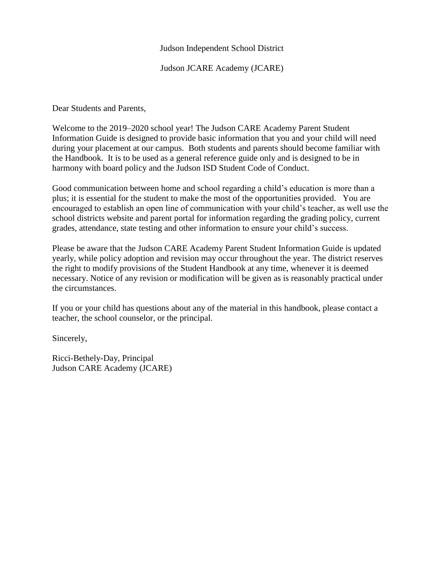#### Judson Independent School District

Judson JCARE Academy (JCARE)

Dear Students and Parents,

Welcome to the 2019–2020 school year! The Judson CARE Academy Parent Student Information Guide is designed to provide basic information that you and your child will need during your placement at our campus. Both students and parents should become familiar with the Handbook. It is to be used as a general reference guide only and is designed to be in harmony with board policy and the Judson ISD Student Code of Conduct.

Good communication between home and school regarding a child's education is more than a plus; it is essential for the student to make the most of the opportunities provided. You are encouraged to establish an open line of communication with your child's teacher, as well use the school districts website and parent portal for information regarding the grading policy, current grades, attendance, state testing and other information to ensure your child's success.

Please be aware that the Judson CARE Academy Parent Student Information Guide is updated yearly, while policy adoption and revision may occur throughout the year. The district reserves the right to modify provisions of the Student Handbook at any time, whenever it is deemed necessary. Notice of any revision or modification will be given as is reasonably practical under the circumstances.

If you or your child has questions about any of the material in this handbook, please contact a teacher, the school counselor, or the principal.

Sincerely,

Ricci-Bethely-Day, Principal Judson CARE Academy (JCARE)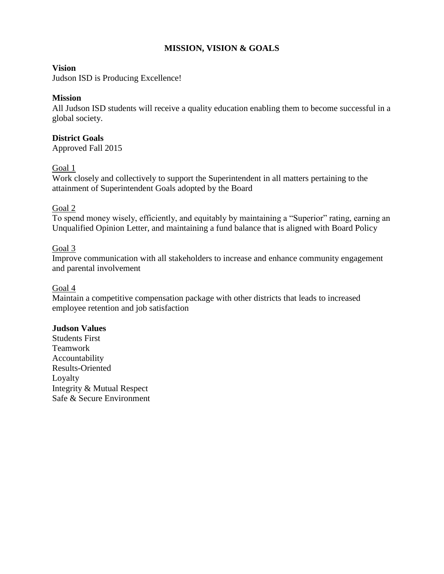# **MISSION, VISION & GOALS**

### **Vision**

Judson ISD is Producing Excellence!

## **Mission**

All Judson ISD students will receive a quality education enabling them to become successful in a global society.

### **District Goals**

Approved Fall 2015

### Goal 1

Work closely and collectively to support the Superintendent in all matters pertaining to the attainment of Superintendent Goals adopted by the Board

### Goal 2

To spend money wisely, efficiently, and equitably by maintaining a "Superior" rating, earning an Unqualified Opinion Letter, and maintaining a fund balance that is aligned with Board Policy

### Goal 3

Improve communication with all stakeholders to increase and enhance community engagement and parental involvement

#### Goal 4

Maintain a competitive compensation package with other districts that leads to increased employee retention and job satisfaction

## **Judson Values**

Students First Teamwork Accountability Results-Oriented Loyalty Integrity & Mutual Respect Safe & Secure Environment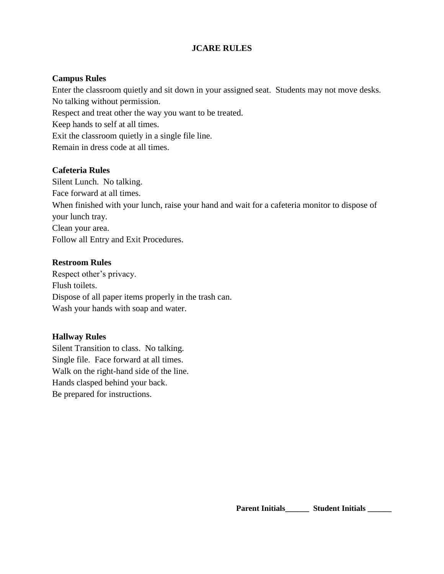## **JCARE RULES**

### **Campus Rules**

Enter the classroom quietly and sit down in your assigned seat. Students may not move desks. No talking without permission.

Respect and treat other the way you want to be treated.

Keep hands to self at all times.

Exit the classroom quietly in a single file line.

Remain in dress code at all times.

### **Cafeteria Rules**

Silent Lunch. No talking. Face forward at all times. When finished with your lunch, raise your hand and wait for a cafeteria monitor to dispose of your lunch tray. Clean your area. Follow all Entry and Exit Procedures.

### **Restroom Rules**

Respect other's privacy. Flush toilets. Dispose of all paper items properly in the trash can. Wash your hands with soap and water.

## **Hallway Rules**

Silent Transition to class. No talking. Single file. Face forward at all times. Walk on the right-hand side of the line. Hands clasped behind your back. Be prepared for instructions.

Parent Initials \_\_\_\_\_\_ Student Initials \_\_\_\_\_\_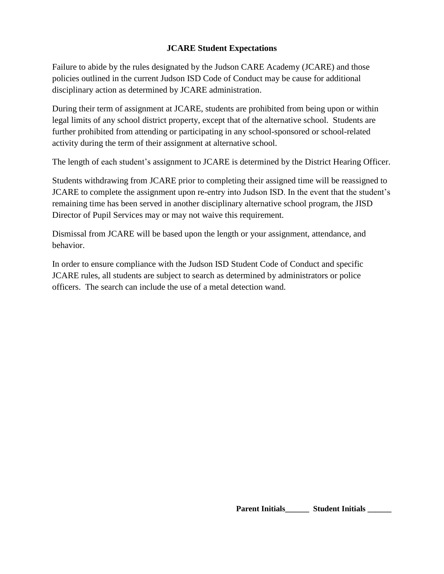# **JCARE Student Expectations**

Failure to abide by the rules designated by the Judson CARE Academy (JCARE) and those policies outlined in the current Judson ISD Code of Conduct may be cause for additional disciplinary action as determined by JCARE administration.

During their term of assignment at JCARE, students are prohibited from being upon or within legal limits of any school district property, except that of the alternative school. Students are further prohibited from attending or participating in any school-sponsored or school-related activity during the term of their assignment at alternative school.

The length of each student's assignment to JCARE is determined by the District Hearing Officer.

Students withdrawing from JCARE prior to completing their assigned time will be reassigned to JCARE to complete the assignment upon re-entry into Judson ISD. In the event that the student's remaining time has been served in another disciplinary alternative school program, the JISD Director of Pupil Services may or may not waive this requirement.

Dismissal from JCARE will be based upon the length or your assignment, attendance, and behavior.

In order to ensure compliance with the Judson ISD Student Code of Conduct and specific JCARE rules, all students are subject to search as determined by administrators or police officers. The search can include the use of a metal detection wand.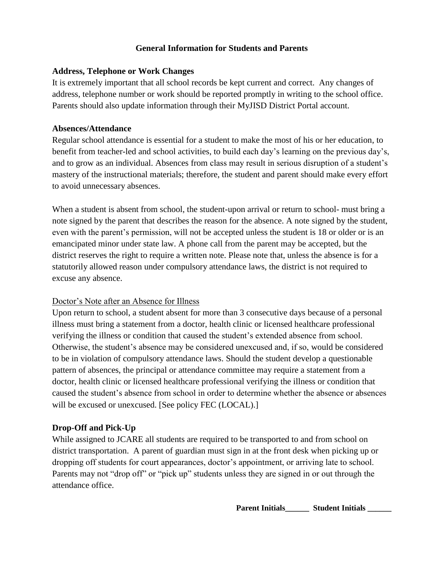## **General Information for Students and Parents**

## **Address, Telephone or Work Changes**

It is extremely important that all school records be kept current and correct. Any changes of address, telephone number or work should be reported promptly in writing to the school office. Parents should also update information through their MyJISD District Portal account.

## **Absences/Attendance**

Regular school attendance is essential for a student to make the most of his or her education, to benefit from teacher-led and school activities, to build each day's learning on the previous day's, and to grow as an individual. Absences from class may result in serious disruption of a student's mastery of the instructional materials; therefore, the student and parent should make every effort to avoid unnecessary absences.

When a student is absent from school, the student-upon arrival or return to school- must bring a note signed by the parent that describes the reason for the absence. A note signed by the student, even with the parent's permission, will not be accepted unless the student is 18 or older or is an emancipated minor under state law. A phone call from the parent may be accepted, but the district reserves the right to require a written note. Please note that, unless the absence is for a statutorily allowed reason under compulsory attendance laws, the district is not required to excuse any absence.

# Doctor's Note after an Absence for Illness

Upon return to school, a student absent for more than 3 consecutive days because of a personal illness must bring a statement from a doctor, health clinic or licensed healthcare professional verifying the illness or condition that caused the student's extended absence from school. Otherwise, the student's absence may be considered unexcused and, if so, would be considered to be in violation of compulsory attendance laws. Should the student develop a questionable pattern of absences, the principal or attendance committee may require a statement from a doctor, health clinic or licensed healthcare professional verifying the illness or condition that caused the student's absence from school in order to determine whether the absence or absences will be excused or unexcused. [See policy FEC (LOCAL).]

# **Drop-Off and Pick-Up**

While assigned to JCARE all students are required to be transported to and from school on district transportation. A parent of guardian must sign in at the front desk when picking up or dropping off students for court appearances, doctor's appointment, or arriving late to school. Parents may not "drop off" or "pick up" students unless they are signed in or out through the attendance office.

Parent Initials\_\_\_\_\_\_\_ Student Initials \_\_\_\_\_\_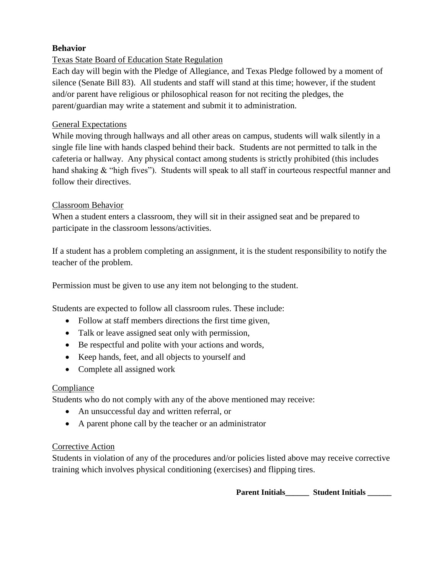# **Behavior**

# Texas State Board of Education State Regulation

Each day will begin with the Pledge of Allegiance, and Texas Pledge followed by a moment of silence (Senate Bill 83). All students and staff will stand at this time; however, if the student and/or parent have religious or philosophical reason for not reciting the pledges, the parent/guardian may write a statement and submit it to administration.

## General Expectations

While moving through hallways and all other areas on campus, students will walk silently in a single file line with hands clasped behind their back. Students are not permitted to talk in the cafeteria or hallway. Any physical contact among students is strictly prohibited (this includes hand shaking & "high fives"). Students will speak to all staff in courteous respectful manner and follow their directives.

# Classroom Behavior

When a student enters a classroom, they will sit in their assigned seat and be prepared to participate in the classroom lessons/activities.

If a student has a problem completing an assignment, it is the student responsibility to notify the teacher of the problem.

Permission must be given to use any item not belonging to the student.

Students are expected to follow all classroom rules. These include:

- Follow at staff members directions the first time given,
- Talk or leave assigned seat only with permission,
- Be respectful and polite with your actions and words,
- Keep hands, feet, and all objects to yourself and
- Complete all assigned work

## Compliance

Students who do not comply with any of the above mentioned may receive:

- An unsuccessful day and written referral, or
- A parent phone call by the teacher or an administrator

## Corrective Action

Students in violation of any of the procedures and/or policies listed above may receive corrective training which involves physical conditioning (exercises) and flipping tires.

Parent Initials **Figure 1. Student Initials <b>Parent** Initials **Parent** Initials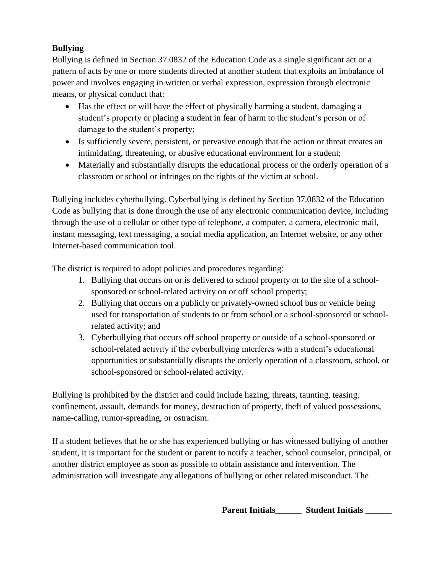# **Bullying**

Bullying is defined in Section 37.0832 of the Education Code as a single significant act or a pattern of acts by one or more students directed at another student that exploits an imbalance of power and involves engaging in written or verbal expression, expression through electronic means, or physical conduct that:

- Has the effect or will have the effect of physically harming a student, damaging a student's property or placing a student in fear of harm to the student's person or of damage to the student's property;
- Is sufficiently severe, persistent, or pervasive enough that the action or threat creates an intimidating, threatening, or abusive educational environment for a student;
- Materially and substantially disrupts the educational process or the orderly operation of a classroom or school or infringes on the rights of the victim at school.

Bullying includes cyberbullying. Cyberbullying is defined by Section 37.0832 of the Education Code as bullying that is done through the use of any electronic communication device, including through the use of a cellular or other type of telephone, a computer, a camera, electronic mail, instant messaging, text messaging, a social media application, an Internet website, or any other Internet-based communication tool.

The district is required to adopt policies and procedures regarding:

- 1. Bullying that occurs on or is delivered to school property or to the site of a schoolsponsored or school-related activity on or off school property;
- 2. Bullying that occurs on a publicly or privately-owned school bus or vehicle being used for transportation of students to or from school or a school-sponsored or schoolrelated activity; and
- 3. Cyberbullying that occurs off school property or outside of a school-sponsored or school-related activity if the cyberbullying interferes with a student's educational opportunities or substantially disrupts the orderly operation of a classroom, school, or school-sponsored or school-related activity.

Bullying is prohibited by the district and could include hazing, threats, taunting, teasing, confinement, assault, demands for money, destruction of property, theft of valued possessions, name-calling, rumor-spreading, or ostracism.

If a student believes that he or she has experienced bullying or has witnessed bullying of another student, it is important for the student or parent to notify a teacher, school counselor, principal, or another district employee as soon as possible to obtain assistance and intervention. The administration will investigate any allegations of bullying or other related misconduct. The

**Parent Initials\_\_\_\_\_\_ Student Initials \_\_\_\_\_\_**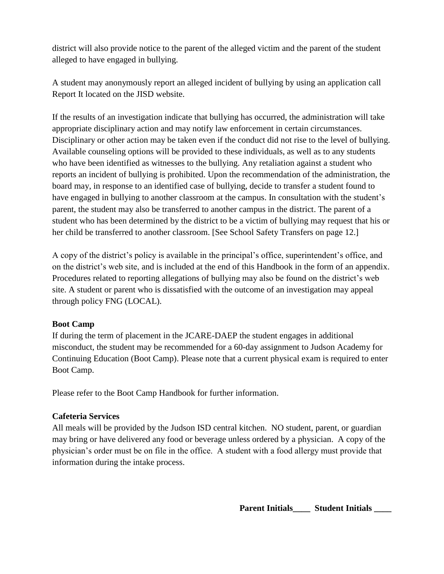district will also provide notice to the parent of the alleged victim and the parent of the student alleged to have engaged in bullying.

A student may anonymously report an alleged incident of bullying by using an application call Report It located on the JISD website.

If the results of an investigation indicate that bullying has occurred, the administration will take appropriate disciplinary action and may notify law enforcement in certain circumstances. Disciplinary or other action may be taken even if the conduct did not rise to the level of bullying. Available counseling options will be provided to these individuals, as well as to any students who have been identified as witnesses to the bullying. Any retaliation against a student who reports an incident of bullying is prohibited. Upon the recommendation of the administration, the board may, in response to an identified case of bullying, decide to transfer a student found to have engaged in bullying to another classroom at the campus. In consultation with the student's parent, the student may also be transferred to another campus in the district. The parent of a student who has been determined by the district to be a victim of bullying may request that his or her child be transferred to another classroom. [See School Safety Transfers on page 12.]

A copy of the district's policy is available in the principal's office, superintendent's office, and on the district's web site, and is included at the end of this Handbook in the form of an appendix. Procedures related to reporting allegations of bullying may also be found on the district's web site. A student or parent who is dissatisfied with the outcome of an investigation may appeal through policy FNG (LOCAL).

## **Boot Camp**

If during the term of placement in the JCARE-DAEP the student engages in additional misconduct, the student may be recommended for a 60-day assignment to Judson Academy for Continuing Education (Boot Camp). Please note that a current physical exam is required to enter Boot Camp.

Please refer to the Boot Camp Handbook for further information.

# **Cafeteria Services**

All meals will be provided by the Judson ISD central kitchen. NO student, parent, or guardian may bring or have delivered any food or beverage unless ordered by a physician. A copy of the physician's order must be on file in the office. A student with a food allergy must provide that information during the intake process.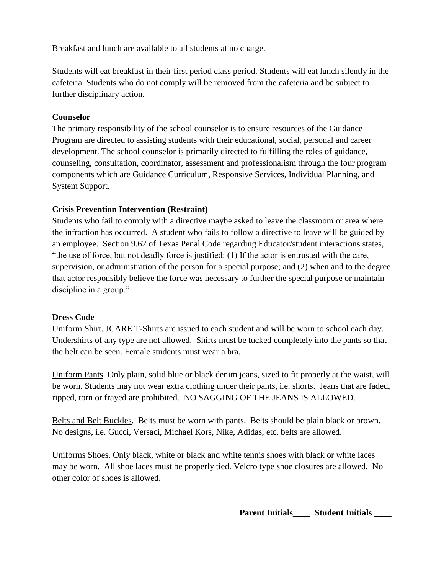Breakfast and lunch are available to all students at no charge.

Students will eat breakfast in their first period class period. Students will eat lunch silently in the cafeteria. Students who do not comply will be removed from the cafeteria and be subject to further disciplinary action.

# **Counselor**

The primary responsibility of the school counselor is to ensure resources of the Guidance Program are directed to assisting students with their educational, social, personal and career development. The school counselor is primarily directed to fulfilling the roles of guidance, counseling, consultation, coordinator, assessment and professionalism through the four program components which are Guidance Curriculum, Responsive Services, Individual Planning, and System Support.

# **Crisis Prevention Intervention (Restraint)**

Students who fail to comply with a directive maybe asked to leave the classroom or area where the infraction has occurred. A student who fails to follow a directive to leave will be guided by an employee. Section 9.62 of Texas Penal Code regarding Educator/student interactions states, "the use of force, but not deadly force is justified: (1) If the actor is entrusted with the care, supervision, or administration of the person for a special purpose; and (2) when and to the degree that actor responsibly believe the force was necessary to further the special purpose or maintain discipline in a group."

# **Dress Code**

Uniform Shirt. JCARE T-Shirts are issued to each student and will be worn to school each day. Undershirts of any type are not allowed. Shirts must be tucked completely into the pants so that the belt can be seen. Female students must wear a bra.

Uniform Pants. Only plain, solid blue or black denim jeans, sized to fit properly at the waist, will be worn. Students may not wear extra clothing under their pants, i.e. shorts. Jeans that are faded, ripped, torn or frayed are prohibited. NO SAGGING OF THE JEANS IS ALLOWED.

Belts and Belt Buckles. Belts must be worn with pants. Belts should be plain black or brown. No designs, i.e. Gucci, Versaci, Michael Kors, Nike, Adidas, etc. belts are allowed.

Uniforms Shoes. Only black, white or black and white tennis shoes with black or white laces may be worn. All shoe laces must be properly tied. Velcro type shoe closures are allowed. No other color of shoes is allowed.

**Parent Initials\_\_\_\_ Student Initials \_\_\_\_**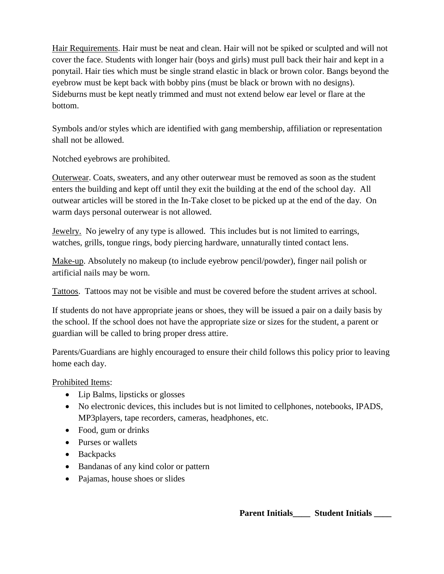Hair Requirements. Hair must be neat and clean. Hair will not be spiked or sculpted and will not cover the face. Students with longer hair (boys and girls) must pull back their hair and kept in a ponytail. Hair ties which must be single strand elastic in black or brown color. Bangs beyond the eyebrow must be kept back with bobby pins (must be black or brown with no designs). Sideburns must be kept neatly trimmed and must not extend below ear level or flare at the bottom.

Symbols and/or styles which are identified with gang membership, affiliation or representation shall not be allowed.

Notched eyebrows are prohibited.

Outerwear. Coats, sweaters, and any other outerwear must be removed as soon as the student enters the building and kept off until they exit the building at the end of the school day. All outwear articles will be stored in the In-Take closet to be picked up at the end of the day. On warm days personal outerwear is not allowed.

Jewelry. No jewelry of any type is allowed. This includes but is not limited to earrings, watches, grills, tongue rings, body piercing hardware, unnaturally tinted contact lens.

Make-up. Absolutely no makeup (to include eyebrow pencil/powder), finger nail polish or artificial nails may be worn.

Tattoos. Tattoos may not be visible and must be covered before the student arrives at school.

If students do not have appropriate jeans or shoes, they will be issued a pair on a daily basis by the school. If the school does not have the appropriate size or sizes for the student, a parent or guardian will be called to bring proper dress attire.

Parents/Guardians are highly encouraged to ensure their child follows this policy prior to leaving home each day.

Prohibited Items:

- Lip Balms, lipsticks or glosses
- No electronic devices, this includes but is not limited to cellphones, notebooks, IPADS, MP3players, tape recorders, cameras, headphones, etc.
- Food, gum or drinks
- Purses or wallets
- Backpacks
- Bandanas of any kind color or pattern
- Pajamas, house shoes or slides

**Parent Initials\_\_\_\_ Student Initials \_\_\_\_**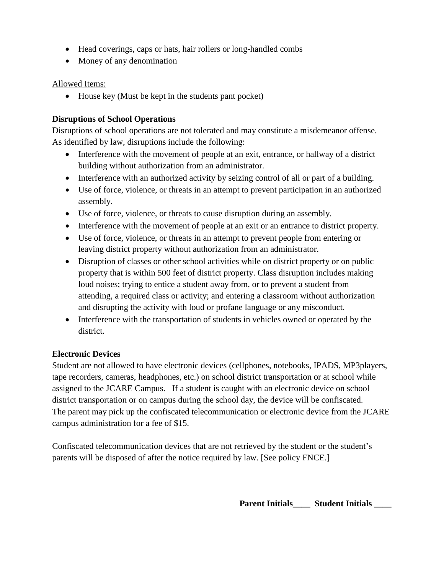- Head coverings, caps or hats, hair rollers or long-handled combs
- Money of any denomination

### Allowed Items:

• House key (Must be kept in the students pant pocket)

## **Disruptions of School Operations**

Disruptions of school operations are not tolerated and may constitute a misdemeanor offense. As identified by law, disruptions include the following:

- Interference with the movement of people at an exit, entrance, or hallway of a district building without authorization from an administrator.
- Interference with an authorized activity by seizing control of all or part of a building.
- Use of force, violence, or threats in an attempt to prevent participation in an authorized assembly.
- Use of force, violence, or threats to cause disruption during an assembly.
- Interference with the movement of people at an exit or an entrance to district property.
- Use of force, violence, or threats in an attempt to prevent people from entering or leaving district property without authorization from an administrator.
- Disruption of classes or other school activities while on district property or on public property that is within 500 feet of district property. Class disruption includes making loud noises; trying to entice a student away from, or to prevent a student from attending, a required class or activity; and entering a classroom without authorization and disrupting the activity with loud or profane language or any misconduct.
- Interference with the transportation of students in vehicles owned or operated by the district.

## **Electronic Devices**

Student are not allowed to have electronic devices (cellphones, notebooks, IPADS, MP3players, tape recorders, cameras, headphones, etc.) on school district transportation or at school while assigned to the JCARE Campus. If a student is caught with an electronic device on school district transportation or on campus during the school day, the device will be confiscated. The parent may pick up the confiscated telecommunication or electronic device from the JCARE campus administration for a fee of \$15.

Confiscated telecommunication devices that are not retrieved by the student or the student's parents will be disposed of after the notice required by law. [See policy FNCE.]

**Parent Initials\_\_\_\_ Student Initials \_\_\_\_**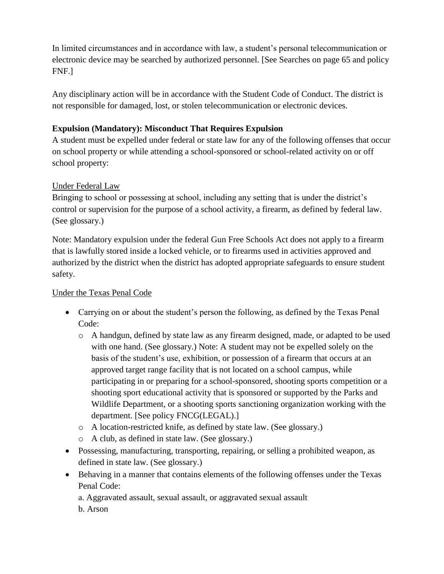In limited circumstances and in accordance with law, a student's personal telecommunication or electronic device may be searched by authorized personnel. [See Searches on page 65 and policy FNF.]

Any disciplinary action will be in accordance with the Student Code of Conduct. The district is not responsible for damaged, lost, or stolen telecommunication or electronic devices.

# **Expulsion (Mandatory): Misconduct That Requires Expulsion**

A student must be expelled under federal or state law for any of the following offenses that occur on school property or while attending a school-sponsored or school-related activity on or off school property:

# Under Federal Law

Bringing to school or possessing at school, including any setting that is under the district's control or supervision for the purpose of a school activity, a firearm, as defined by federal law. (See glossary.)

Note: Mandatory expulsion under the federal Gun Free Schools Act does not apply to a firearm that is lawfully stored inside a locked vehicle, or to firearms used in activities approved and authorized by the district when the district has adopted appropriate safeguards to ensure student safety.

## Under the Texas Penal Code

- Carrying on or about the student's person the following, as defined by the Texas Penal Code:
	- o A handgun, defined by state law as any firearm designed, made, or adapted to be used with one hand. (See glossary.) Note: A student may not be expelled solely on the basis of the student's use, exhibition, or possession of a firearm that occurs at an approved target range facility that is not located on a school campus, while participating in or preparing for a school-sponsored, shooting sports competition or a shooting sport educational activity that is sponsored or supported by the Parks and Wildlife Department, or a shooting sports sanctioning organization working with the department. [See policy FNCG(LEGAL).]
	- o A location-restricted knife, as defined by state law. (See glossary.)
	- o A club, as defined in state law. (See glossary.)
- Possessing, manufacturing, transporting, repairing, or selling a prohibited weapon, as defined in state law. (See glossary.)
- Behaving in a manner that contains elements of the following offenses under the Texas Penal Code:
	- a. Aggravated assault, sexual assault, or aggravated sexual assault
	- b. Arson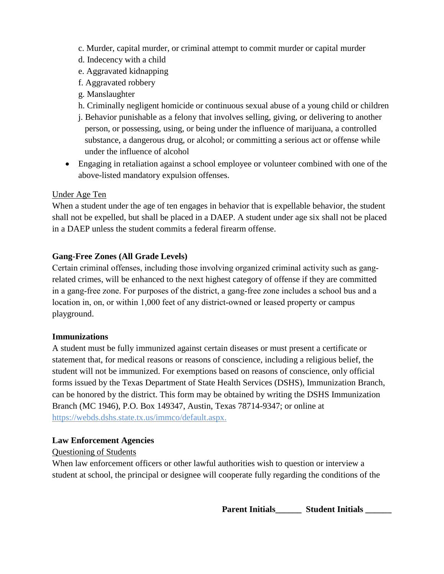- c. Murder, capital murder, or criminal attempt to commit murder or capital murder
- d. Indecency with a child
- e. Aggravated kidnapping
- f. Aggravated robbery
- g. Manslaughter
- h. Criminally negligent homicide or continuous sexual abuse of a young child or children
- j. Behavior punishable as a felony that involves selling, giving, or delivering to another person, or possessing, using, or being under the influence of marijuana, a controlled substance, a dangerous drug, or alcohol; or committing a serious act or offense while under the influence of alcohol
- Engaging in retaliation against a school employee or volunteer combined with one of the above-listed mandatory expulsion offenses.

# Under Age Ten

When a student under the age of ten engages in behavior that is expellable behavior, the student shall not be expelled, but shall be placed in a DAEP. A student under age six shall not be placed in a DAEP unless the student commits a federal firearm offense.

# **Gang-Free Zones (All Grade Levels)**

Certain criminal offenses, including those involving organized criminal activity such as gang– related crimes, will be enhanced to the next highest category of offense if they are committed in a gang‐free zone. For purposes of the district, a gang‐free zone includes a school bus and a location in, on, or within 1,000 feet of any district-owned or leased property or campus playground.

## **Immunizations**

A student must be fully immunized against certain diseases or must present a certificate or statement that, for medical reasons or reasons of conscience, including a religious belief, the student will not be immunized. For exemptions based on reasons of conscience, only official forms issued by the Texas Department of State Health Services (DSHS), Immunization Branch, can be honored by the district. This form may be obtained by writing the DSHS Immunization Branch (MC 1946), P.O. Box 149347, Austin, Texas 78714-9347; or online at https://webds.dshs.state.tx.us/immco/default.aspx.

## **Law Enforcement Agencies**

# Questioning of Students

When law enforcement officers or other lawful authorities wish to question or interview a student at school, the principal or designee will cooperate fully regarding the conditions of the

**Parent Initials\_\_\_\_\_\_ Student Initials \_\_\_\_\_\_**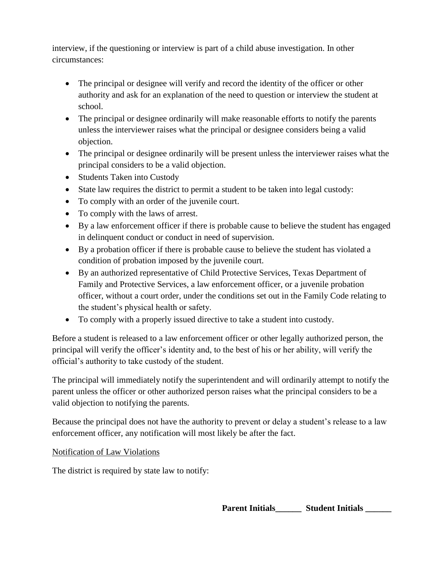interview, if the questioning or interview is part of a child abuse investigation. In other circumstances:

- The principal or designee will verify and record the identity of the officer or other authority and ask for an explanation of the need to question or interview the student at school.
- The principal or designee ordinarily will make reasonable efforts to notify the parents unless the interviewer raises what the principal or designee considers being a valid objection.
- The principal or designee ordinarily will be present unless the interviewer raises what the principal considers to be a valid objection.
- Students Taken into Custody
- State law requires the district to permit a student to be taken into legal custody:
- To comply with an order of the juvenile court.
- To comply with the laws of arrest.
- By a law enforcement officer if there is probable cause to believe the student has engaged in delinquent conduct or conduct in need of supervision.
- By a probation officer if there is probable cause to believe the student has violated a condition of probation imposed by the juvenile court.
- By an authorized representative of Child Protective Services, Texas Department of Family and Protective Services, a law enforcement officer, or a juvenile probation officer, without a court order, under the conditions set out in the Family Code relating to the student's physical health or safety.
- To comply with a properly issued directive to take a student into custody.

Before a student is released to a law enforcement officer or other legally authorized person, the principal will verify the officer's identity and, to the best of his or her ability, will verify the official's authority to take custody of the student.

The principal will immediately notify the superintendent and will ordinarily attempt to notify the parent unless the officer or other authorized person raises what the principal considers to be a valid objection to notifying the parents.

Because the principal does not have the authority to prevent or delay a student's release to a law enforcement officer, any notification will most likely be after the fact.

Notification of Law Violations

The district is required by state law to notify:

Parent Initials **Figure 1. Student Initials Parent Initials**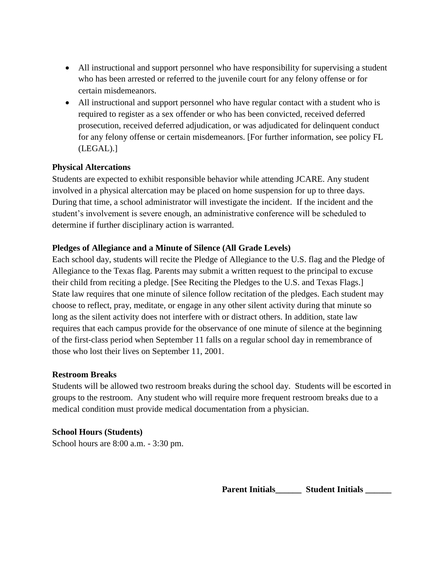- All instructional and support personnel who have responsibility for supervising a student who has been arrested or referred to the juvenile court for any felony offense or for certain misdemeanors.
- All instructional and support personnel who have regular contact with a student who is required to register as a sex offender or who has been convicted, received deferred prosecution, received deferred adjudication, or was adjudicated for delinquent conduct for any felony offense or certain misdemeanors. [For further information, see policy FL (LEGAL).]

## **Physical Altercations**

Students are expected to exhibit responsible behavior while attending JCARE. Any student involved in a physical altercation may be placed on home suspension for up to three days. During that time, a school administrator will investigate the incident. If the incident and the student's involvement is severe enough, an administrative conference will be scheduled to determine if further disciplinary action is warranted.

### **Pledges of Allegiance and a Minute of Silence (All Grade Levels)**

Each school day, students will recite the Pledge of Allegiance to the U.S. flag and the Pledge of Allegiance to the Texas flag. Parents may submit a written request to the principal to excuse their child from reciting a pledge. [See Reciting the Pledges to the U.S. and Texas Flags.] State law requires that one minute of silence follow recitation of the pledges. Each student may choose to reflect, pray, meditate, or engage in any other silent activity during that minute so long as the silent activity does not interfere with or distract others. In addition, state law requires that each campus provide for the observance of one minute of silence at the beginning of the first-class period when September 11 falls on a regular school day in remembrance of those who lost their lives on September 11, 2001.

#### **Restroom Breaks**

Students will be allowed two restroom breaks during the school day. Students will be escorted in groups to the restroom. Any student who will require more frequent restroom breaks due to a medical condition must provide medical documentation from a physician.

#### **School Hours (Students)**

School hours are 8:00 a.m. - 3:30 pm.

**Parent Initials\_\_\_\_\_\_ Student Initials \_\_\_\_\_\_**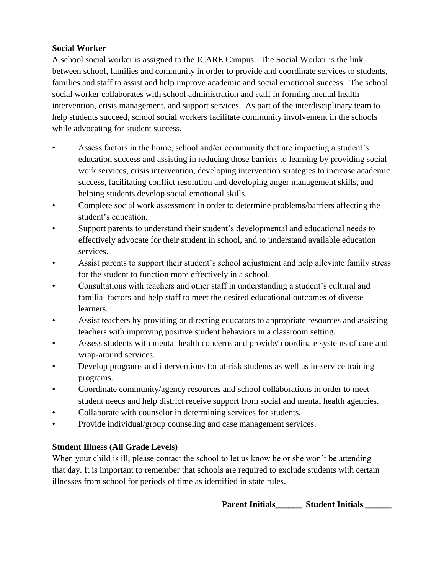# **Social Worker**

A school social worker is assigned to the JCARE Campus. The Social Worker is the link between school, families and community in order to provide and coordinate services to students, families and staff to assist and help improve academic and social emotional success. The school social worker collaborates with school administration and staff in forming mental health intervention, crisis management, and support services. As part of the interdisciplinary team to help students succeed, school social workers facilitate community involvement in the schools while advocating for student success.

- Assess factors in the home, school and/or community that are impacting a student's education success and assisting in reducing those barriers to learning by providing social work services, crisis intervention, developing intervention strategies to increase academic success, facilitating conflict resolution and developing anger management skills, and helping students develop social emotional skills.
- Complete social work assessment in order to determine problems/barriers affecting the student's education.
- Support parents to understand their student's developmental and educational needs to effectively advocate for their student in school, and to understand available education services.
- Assist parents to support their student's school adjustment and help alleviate family stress for the student to function more effectively in a school.
- Consultations with teachers and other staff in understanding a student's cultural and familial factors and help staff to meet the desired educational outcomes of diverse learners.
- Assist teachers by providing or directing educators to appropriate resources and assisting teachers with improving positive student behaviors in a classroom setting.
- Assess students with mental health concerns and provide/coordinate systems of care and wrap-around services.
- Develop programs and interventions for at-risk students as well as in-service training programs.
- Coordinate community/agency resources and school collaborations in order to meet student needs and help district receive support from social and mental health agencies.
- Collaborate with counselor in determining services for students.
- Provide individual/group counseling and case management services.

# **Student Illness (All Grade Levels)**

When your child is ill, please contact the school to let us know he or she won't be attending that day. It is important to remember that schools are required to exclude students with certain illnesses from school for periods of time as identified in state rules.

Parent Initials **Student Initials**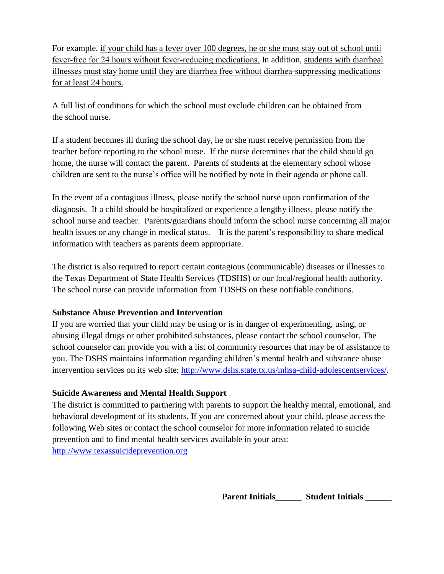For example, if your child has a fever over 100 degrees, he or she must stay out of school until fever-free for 24 hours without fever-reducing medications. In addition, students with diarrheal illnesses must stay home until they are diarrhea free without diarrhea‐suppressing medications for at least 24 hours.

A full list of conditions for which the school must exclude children can be obtained from the school nurse.

If a student becomes ill during the school day, he or she must receive permission from the teacher before reporting to the school nurse. If the nurse determines that the child should go home, the nurse will contact the parent. Parents of students at the elementary school whose children are sent to the nurse's office will be notified by note in their agenda or phone call.

In the event of a contagious illness, please notify the school nurse upon confirmation of the diagnosis. If a child should be hospitalized or experience a lengthy illness, please notify the school nurse and teacher. Parents/guardians should inform the school nurse concerning all major health issues or any change in medical status. It is the parent's responsibility to share medical information with teachers as parents deem appropriate.

The district is also required to report certain contagious (communicable) diseases or illnesses to the Texas Department of State Health Services (TDSHS) or our local/regional health authority. The school nurse can provide information from TDSHS on these notifiable conditions.

## **Substance Abuse Prevention and Intervention**

If you are worried that your child may be using or is in danger of experimenting, using, or abusing illegal drugs or other prohibited substances, please contact the school counselor. The school counselor can provide you with a list of community resources that may be of assistance to you. The DSHS maintains information regarding children's mental health and substance abuse intervention services on its web site: [http://www.dshs.state.tx.us/mhsa-child-adolescentservices/.](http://www.dshs.state.tx.us/mhsa-child-adolescentservices/)

# **Suicide Awareness and Mental Health Support**

The district is committed to partnering with parents to support the healthy mental, emotional, and behavioral development of its students. If you are concerned about your child, please access the following Web sites or contact the school counselor for more information related to suicide prevention and to find mental health services available in your area: [http://www.texassuicideprevention.org](http://www.texassuicideprevention.org/)

Parent Initials **Student Initials**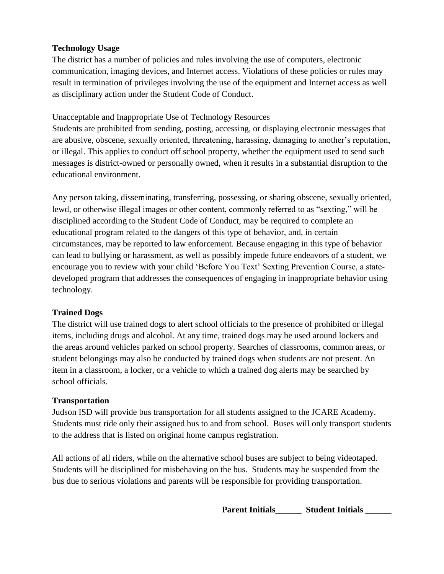## **Technology Usage**

The district has a number of policies and rules involving the use of computers, electronic communication, imaging devices, and Internet access. Violations of these policies or rules may result in termination of privileges involving the use of the equipment and Internet access as well as disciplinary action under the Student Code of Conduct.

## Unacceptable and Inappropriate Use of Technology Resources

Students are prohibited from sending, posting, accessing, or displaying electronic messages that are abusive, obscene, sexually oriented, threatening, harassing, damaging to another's reputation, or illegal. This applies to conduct off school property, whether the equipment used to send such messages is district-owned or personally owned, when it results in a substantial disruption to the educational environment.

Any person taking, disseminating, transferring, possessing, or sharing obscene, sexually oriented, lewd, or otherwise illegal images or other content, commonly referred to as "sexting," will be disciplined according to the Student Code of Conduct, may be required to complete an educational program related to the dangers of this type of behavior, and, in certain circumstances, may be reported to law enforcement. Because engaging in this type of behavior can lead to bullying or harassment, as well as possibly impede future endeavors of a student, we encourage you to review with your child 'Before You Text' Sexting Prevention Course, a statedeveloped program that addresses the consequences of engaging in inappropriate behavior using technology.

# **Trained Dogs**

The district will use trained dogs to alert school officials to the presence of prohibited or illegal items, including drugs and alcohol. At any time, trained dogs may be used around lockers and the areas around vehicles parked on school property. Searches of classrooms, common areas, or student belongings may also be conducted by trained dogs when students are not present. An item in a classroom, a locker, or a vehicle to which a trained dog alerts may be searched by school officials.

# **Transportation**

Judson ISD will provide bus transportation for all students assigned to the JCARE Academy. Students must ride only their assigned bus to and from school. Buses will only transport students to the address that is listed on original home campus registration.

All actions of all riders, while on the alternative school buses are subject to being videotaped. Students will be disciplined for misbehaving on the bus. Students may be suspended from the bus due to serious violations and parents will be responsible for providing transportation.

Parent Initials\_\_\_\_\_\_\_ Student Initials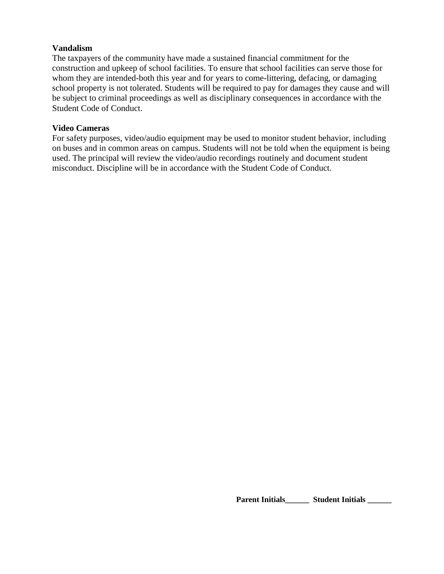#### **Vandalism**

The taxpayers of the community have made a sustained financial commitment for the construction and upkeep of school facilities. To ensure that school facilities can serve those for whom they are intended-both this year and for years to come-littering, defacing, or damaging school property is not tolerated. Students will be required to pay for damages they cause and will be subject to criminal proceedings as well as disciplinary consequences in accordance with the Student Code of Conduct.

#### **Video Cameras**

For safety purposes, video/audio equipment may be used to monitor student behavior, including on buses and in common areas on campus. Students will not be told when the equipment is being used. The principal will review the video/audio recordings routinely and document student misconduct. Discipline will be in accordance with the Student Code of Conduct.

Parent Initials\_\_\_\_\_\_\_ Student Initials \_\_\_\_\_\_